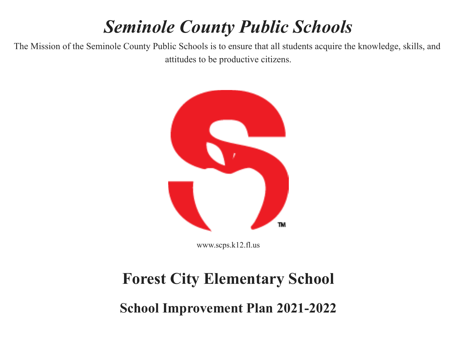# *Seminole County Public Schools*

The Mission of the Seminole County Public Schools is to ensure that all students acquire the knowledge, skills, and attitudes to be productive citizens.



www.scps.k12.fl.us

# **Forest City Elementary School**

**School Improvement Plan 2021-2022**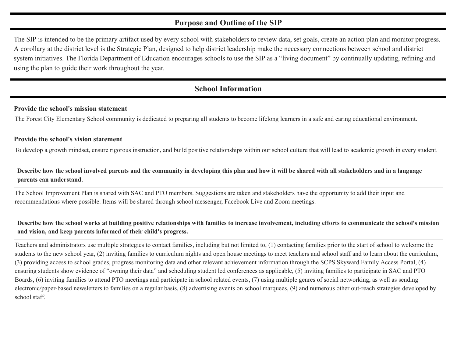#### **Purpose and Outline of the SIP**

The SIP is intended to be the primary artifact used by every school with stakeholders to review data, set goals, create an action plan and monitor progress. A corollary at the district level is the Strategic Plan, designed to help district leadership make the necessary connections between school and district system initiatives. The Florida Department of Education encourages schools to use the SIP as a "living document" by continually updating, refining and using the plan to guide their work throughout the year.

#### **School Information**

#### **Provide the school's mission statement**

The Forest City Elementary School community is dedicated to preparing all students to become lifelong learners in a safe and caring educational environment.

#### **Provide the school's vision statement**

To develop a growth mindset, ensure rigorous instruction, and build positive relationships within our school culture that will lead to academic growth in every student.

#### Describe how the school involved parents and the community in developing this plan and how it will be shared with all stakeholders and in a language **parents can understand.**

The School Improvement Plan is shared with SAC and PTO members. Suggestions are taken and stakeholders have the opportunity to add their input and recommendations where possible. Items will be shared through school messenger, Facebook Live and Zoom meetings.

#### Describe how the school works at building positive relationships with families to increase involvement, including efforts to communicate the school's mission **and vision, and keep parents informed of their child's progress.**

Teachers and administrators use multiple strategies to contact families, including but not limited to, (1) contacting families prior to the start of school to welcome the students to the new school year, (2) inviting families to curriculum nights and open house meetings to meet teachers and school staff and to learn about the curriculum, (3) providing access to school grades, progress monitoring data and other relevant achievement information through the SCPS Skyward Family Access Portal, (4) ensuring students show evidence of "owning their data" and scheduling student led conferences as applicable, (5) inviting families to participate in SAC and PTO Boards, (6) inviting families to attend PTO meetings and participate in school related events, (7) using multiple genres of social networking, as well as sending electronic/paper-based newsletters to families on a regular basis, (8) advertising events on school marquees, (9) and numerous other out-reach strategies developed by school staff.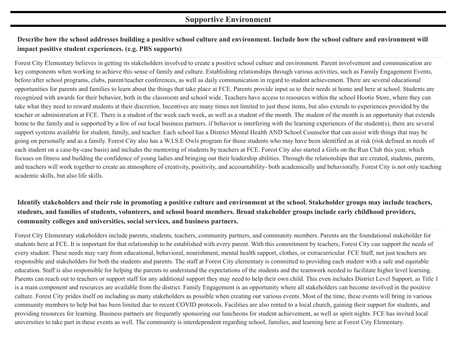#### **Supportive Environment**

#### **Describe how the school addresses building a positive school culture and environment. Include how the school culture and environment will impact positive student experiences. (e.g. PBS supports)**

Forest City Elementary believes in getting its stakeholders involved to create a positive school culture and environment. Parent involvement and communication are key components when working to achieve this sense of family and culture. Establishing relationships through various activities, such as Family Engagement Events, before/after school programs, clubs, parent/teacher conferences, as well as daily communication in regard to student achievement. There are several educational opportunities for parents and families to learn about the things that take place at FCE. Parents provide input as to their needs at home and here at school. Students are recognized with awards for their behavior, both in the classroom and school wide. Teachers have access to resources within the school Hootie Store, where they can take what they need to reward students at their discretion. Incentives are many times not limited to just these items, but also extends to experiences provided by the teacher or administration at FCE. There is a student of the week each week, as well as a student of the month. The student of the month is an opportunity that extends home to the family and is supported by a few of our local business partners. if behavior is interfering with the learning experiences of the student(s), there are several support systems available for student, family, and teacher. Each school has a District Mental Health AND School Counselor that can assist with things that may be going on personally and as a family. Forest City also has a W.I.S.E Owls program for those students who may have been identified as at risk (risk defined as needs of each student on a case-by-case basis) and includes the mentoring of students by teachers at FCE. Forest City also started a Girls on the Run Club this year, which focuses on fitness and building the confidence of young ladies and bringing out their leadership abilities. Through the relationships that are created, students, parents, and teachers will work together to create an atmosphere of creativity, positivity, and accountability- both academically and behaviorally. Forest City is not only teaching academic skills, but also life skills.

#### **Identify stakeholders and their role in promoting a positive culture and environment at the school. Stakeholder groups may include teachers, students, and families of students, volunteers, and school board members. Broad stakeholder groups include early childhood providers, community colleges and universities, social services, and business partners.**

Forest City Elementary stakeholders include parents, students, teachers, community partners, and community members. Parents are the foundational stakeholder for students here at FCE. It is important for that relationship to be established with every parent. With this commitment by teachers, Forest City can support the needs of every student. These needs may vary from educational, behavioral, nourishment, mental health support, clothes, or extracurricular. FCE Staff, not just teachers are responsible and stakeholders for both the students and parents. The staff at Forest City elementary is committed to providing each student with a safe and equitable education. Staff is also responsible for helping the parents to understand the expectations of the students and the teamwork needed to facilitate higher level learning. Parents can reach out to teachers or support staff for any additional support they may need to help their own child. This even includes District Level Support, as Title 1 is a main component and resources are available from the district. Family Engagement is an opportunity where all stakeholders can become involved in the positive culture. Forest City prides itself on including as many stakeholders as possible when creating our various events. Most of the time, these events will bring in various community members to help but has been limited due to recent COVID protocols. Facilities are also rented to a local church, gaining their support for students, and providing resources for learning. Business partners are frequently sponsoring our luncheons for student achievement, as well as spirit nights. FCE has invited local universities to take part in these events as well. The community is interdependent regarding school, families, and learning here at Forest City Elementary.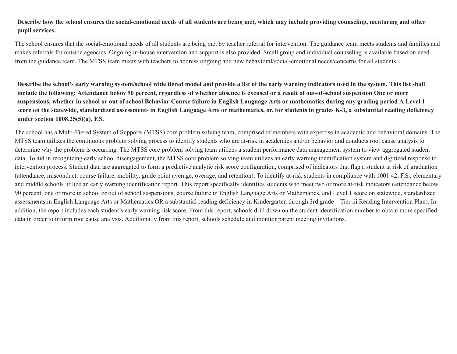#### Describe how the school ensures the social-emotional needs of all students are being met, which may include providing counseling, mentoring and other **pupil services.**

The school ensures that the social-emotional needs of all students are being met by teacher referral for intervention. The guidance team meets students and families and makes referrals for outside agencies. Ongoing in-house intervention and support is also provided. Small group and individual counseling is available based on need from the guidance team. The MTSS team meets with teachers to address ongoing and new behavioral/social-emotional needs/concerns for all students.

Describe the school's early warning system/school wide tiered model and provide a list of the early warning indicators used in the system. This list shall include the following: Attendance below 90 percent, regardless of whether absence is excused or a result of out-of-school suspension One or more suspensions, whether in school or out of school Behavior Course failure in English Language Arts or mathematics during any grading period A Level 1 score on the statewide, standardized assessments in English Language Arts or mathematics, or, for students in grades K-3, a substantial reading deficiency **under section 1008.25(5)(a), F.S.**

The school has a Multi-Tiered System of Supports (MTSS) core problem solving team, comprised of members with expertise in academic and behavioral domains. The MTSS team utilizes the continuous problem solving process to identify students who are at-risk in academics and/or behavior and conducts root cause analysis to determine why the problem is occurring. The MTSS core problem solving team utilizes a student performance data management system to view aggregated student data. To aid in recognizing early school disengagement, the MTSS core problem solving team utilizes an early warning identification system and digitized response to intervention process. Student data are aggregated to form a predictive analytic risk score configuration, comprised of indicators that flag a student at risk of graduation (attendance, misconduct, course failure, mobility, grade point average, overage, and retention). To identify at-risk students in compliance with 1001.42, F.S., elementary and middle schools utilize an early warning identification report. This report specifically identifies students who meet two or more at-risk indicators (attendance below 90 percent, one or more in school or out of school suspensions, course failure in English Language Arts or Mathematics, and Level 1 score on statewide, standardized assessments in English Language Arts or Mathematics OR a substantial reading deficiency in Kindergarten through.3rd grade – Tier iii Reading Intervention Plan). In addition, the report includes each student's early warning risk score. From this report, schools drill down on the student identification number to obtain more specified data in order to inform root cause analysis. Additionally from this report, schools schedule and monitor parent meeting invitations.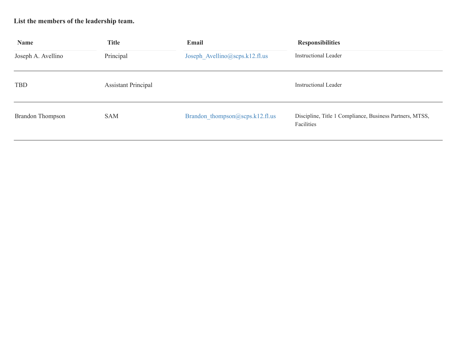## **List the members of the leadership team.**

| <b>Name</b>             | <b>Title</b>               | Email                           | <b>Responsibilities</b>                                                |  |  |
|-------------------------|----------------------------|---------------------------------|------------------------------------------------------------------------|--|--|
| Joseph A. Avellino      | Principal                  | Joseph Avellino@scps.k12.fl.us  | <b>Instructional Leader</b>                                            |  |  |
| <b>TBD</b>              | <b>Assistant Principal</b> |                                 | <b>Instructional Leader</b>                                            |  |  |
| <b>Brandon Thompson</b> | <b>SAM</b>                 | Brandon thompson@scps.k12.fl.us | Discipline, Title 1 Compliance, Business Partners, MTSS,<br>Facilities |  |  |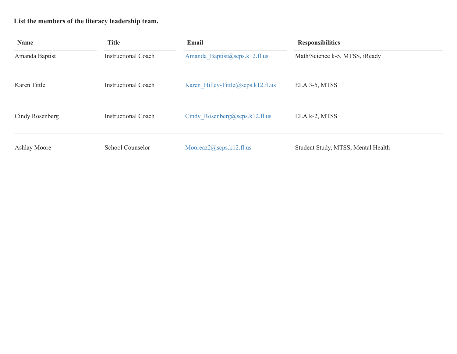## **List the members of the literacy leadership team.**

| <b>Name</b>     | <b>Title</b>               | Email                              | <b>Responsibilities</b>            |
|-----------------|----------------------------|------------------------------------|------------------------------------|
| Amanda Baptist  | <b>Instructional Coach</b> | Amanda Baptist@scps.k12.fl.us      | Math/Science k-5, MTSS, iReady     |
| Karen Tittle    | <b>Instructional Coach</b> | Karen Hilley-Tittle@scps.k12.fl.us | ELA 3-5, MTSS                      |
| Cindy Rosenberg | <b>Instructional Coach</b> | Cindy Rosenberg@scps.k12.fl.us     | ELA k-2, MTSS                      |
| Ashlay Moore    | School Counselor           | Mooreaz $2(a)$ scps.k12.fl.us      | Student Study, MTSS, Mental Health |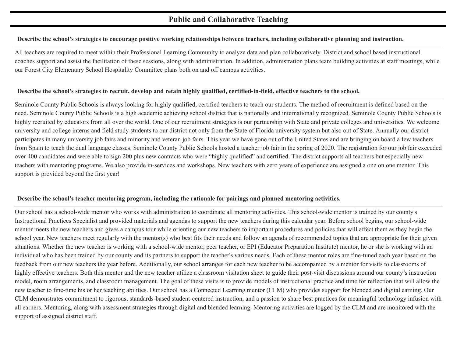#### **Public and Collaborative Teaching**

#### Describe the school's strategies to encourage positive working relationships between teachers, including collaborative planning and instruction.

All teachers are required to meet within their Professional Learning Community to analyze data and plan collaboratively. District and school based instructional coaches support and assist the facilitation of these sessions, along with administration. In addition, administration plans team building activities at staff meetings, while our Forest City Elementary School Hospitality Committee plans both on and off campus activities.

#### Describe the school's strategies to recruit, develop and retain highly qualified, certified-in-field, effective teachers to the school.

Seminole County Public Schools is always looking for highly qualified, certified teachers to teach our students. The method of recruitment is defined based on the need. Seminole County Public Schools is a high academic achieving school district that is nationally and internationally recognized. Seminole County Public Schools is highly recruited by educators from all over the world. One of our recruitment strategies is our partnership with State and private colleges and universities. We welcome university and college interns and field study students to our district not only from the State of Florida university system but also out of State. Annually our district participates in many university job fairs and minority and veteran job fairs. This year we have gone out of the United States and are bringing on board a few teachers from Spain to teach the dual language classes. Seminole County Public Schools hosted a teacher job fair in the spring of 2020. The registration for our job fair exceeded over 400 candidates and were able to sign 200 plus new contracts who were "highly qualified" and certified. The district supports all teachers but especially new teachers with mentoring programs. We also provide in-services and workshops. New teachers with zero years of experience are assigned a one on one mentor. This support is provided beyond the first year!

#### **Describe the school's teacher mentoring program, including the rationale for pairings and planned mentoring activities.**

Our school has a school-wide mentor who works with administration to coordinate all mentoring activities. This school-wide mentor is trained by our county's Instructional Practices Specialist and provided materials and agendas to support the new teachers during this calendar year. Before school begins, our school-wide mentor meets the new teachers and gives a campus tour while orienting our new teachers to important procedures and policies that will affect them as they begin the school year. New teachers meet regularly with the mentor(s) who best fits their needs and follow an agenda of recommended topics that are appropriate for their given situations. Whether the new teacher is working with a school-wide mentor, peer teacher, or EPI (Educator Preparation Institute) mentor, he or she is working with an individual who has been trained by our county and its partners to support the teacher's various needs. Each of these mentor roles are fine-tuned each year based on the feedback from our new teachers the year before. Additionally, our school arranges for each new teacher to be accompanied by a mentor for visits to classrooms of highly effective teachers. Both this mentor and the new teacher utilize a classroom visitation sheet to guide their post-visit discussions around our county's instruction model, room arrangements, and classroom management. The goal of these visits is to provide models of instructional practice and time for reflection that will allow the new teacher to fine-tune his or her teaching abilities. Our school has a Connected Learning mentor (CLM) who provides support for blended and digital earning. Our CLM demonstrates commitment to rigorous, standards-based student-centered instruction, and a passion to share best practices for meaningful technology infusion with all earners. Mentoring, along with assessment strategies through digital and blended learning. Mentoring activities are logged by the CLM and are monitored with the support of assigned district staff.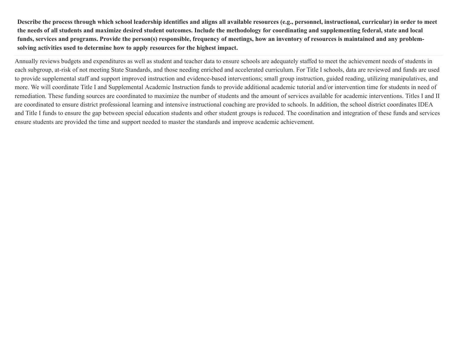Describe the process through which school leadership identifies and aligns all available resources (e.g., personnel, instructional, curricular) in order to meet the needs of all students and maximize desired student outcomes. Include the methodology for coordinating and supplementing federal, state and local funds, services and programs. Provide the person(s) responsible, frequency of meetings, how an inventory of resources is maintained and any problem**solving activities used to determine how to apply resources for the highest impact.**

Annually reviews budgets and expenditures as well as student and teacher data to ensure schools are adequately staffed to meet the achievement needs of students in each subgroup, at-risk of not meeting State Standards, and those needing enriched and accelerated curriculum. For Title I schools, data are reviewed and funds are used to provide supplemental staff and support improved instruction and evidence-based interventions; small group instruction, guided reading, utilizing manipulatives, and more. We will coordinate Title I and Supplemental Academic Instruction funds to provide additional academic tutorial and/or intervention time for students in need of remediation. These funding sources are coordinated to maximize the number of students and the amount of services available for academic interventions. Titles I and II are coordinated to ensure district professional learning and intensive instructional coaching are provided to schools. In addition, the school district coordinates IDEA and Title I funds to ensure the gap between special education students and other student groups is reduced. The coordination and integration of these funds and services ensure students are provided the time and support needed to master the standards and improve academic achievement.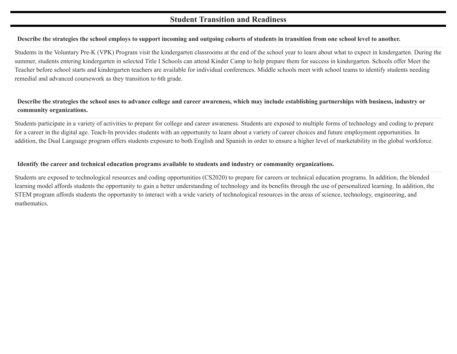#### **Student Transition and Readiness**

#### Describe the strategies the school employs to support incoming and outgoing cohorts of students in transition from one school level to another.

Students in the Voluntary Pre-K (VPK) Program visit the kindergarten classrooms at the end of the school year to learn about what to expect in kindergarten. During the summer, students entering kindergarten in selected Title I Schools can attend Kinder Camp to help prepare them for success in kindergarten. Schools offer Meet the Teacher before school starts and kindergarten teachers are available for individual conferences. Middle schools meet with school teams to identify students needing remedial and advanced coursework as they transition to 6th grade.

#### Describe the strategies the school uses to advance college and career awareness, which may include establishing partnerships with business, industry or **community organizations.**

Students participate in a variety of activities to prepare for college and career awareness. Students are exposed to multiple forms of technology and coding to prepare for a career in the digital age. Teach-In provides students with an opportunity to learn about a variety of career choices and future employment opportunities. In addition, the Dual Language program offers students exposure to both English and Spanish in order to ensure a higher level of marketability in the global workforce.

#### **Identify the career and technical education programs available to students and industry or community organizations.**

Students are exposed to technological resources and coding opportunities (CS2020) to prepare for careers or technical education programs. In addition, the blended learning model affords students the opportunity to gain a better understanding of technology and its benefits through the use of personalized learning. In addition, the STEM program affords students the opportunity to interact with a wide variety of technological resources in the areas of science, technology, engineering, and mathematics.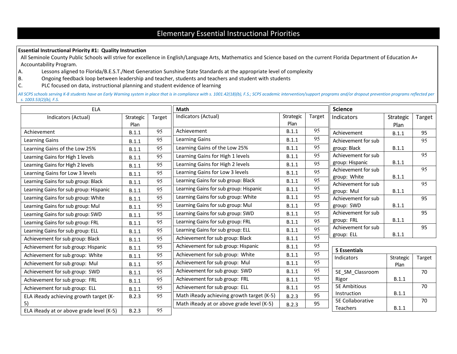## Elementary Essential Instructional Priorities

#### **Essential Instructional Priority #1: Quality Instruction**

All Seminole County Public Schools will strive for excellence in English/Language Arts, Mathematics and Science based on the current Florida Department of Education A+ Accountability Program.

- A. Lessons aligned to Florida/B.E.S.T./Next Generation Sunshine State Standards at the appropriate level of complexity
- B. Ongoing feedback loop between leadership and teacher, students and teachers and student with students
- C. PLC focused on data, instructional planning and student evidence of learning

All SCPS schools serving K-8 students have an Early Warning system in place that is in compliance with s. 1001.42(18)(b), F.S.; SCPS academic intervention/support programs and/or dropout prevention programs reflected per *s. 1003.53(2)(b), F.S.*

| <b>ELA</b>                               |           |        | Math                                      | <b>Science</b> |                 |                                     |           |                 |
|------------------------------------------|-----------|--------|-------------------------------------------|----------------|-----------------|-------------------------------------|-----------|-----------------|
| Indicators (Actual)                      | Strategic | Target | Indicators (Actual)                       | Strategic      | Target          | Indicators                          | Strategic | Target          |
|                                          | Plan      |        |                                           | Plan           |                 |                                     | Plan      |                 |
| Achievement                              | B.1.1     | 95     | Achievement                               | B.1.1          | 95              | Achievement                         | B.1.1     | 95              |
| <b>Learning Gains</b>                    | B.1.1     | 95     | Learning Gains                            | B.1.1          | 95              | Achievement for sub                 |           | $\overline{95}$ |
| Learning Gains of the Low 25%            | B.1.1     | 95     | Learning Gains of the Low 25%             | B.1.1          | 95              | group: Black                        | B.1.1     |                 |
| Learning Gains for High 1 levels         | B.1.1     | 95     | Learning Gains for High 1 levels          | B.1.1          | 95              | Achievement for sub                 |           | 95              |
| Learning Gains for High 2 levels         | B.1.1     | 95     | Learning Gains for High 2 levels          | B.1.1          | 95              | group: Hispanic                     | B.1.1     |                 |
| Learning Gains for Low 3 levels          | B.1.1     | 95     | Learning Gains for Low 3 levels           | B.1.1          | $\overline{95}$ | Achievement for sub<br>group: White | B.1.1     | 95              |
| Learning Gains for sub group: Black      | B.1.1     | 95     | Learning Gains for sub group: Black       | B.1.1          | $\overline{95}$ | Achievement for sub                 |           | 95              |
| Learning Gains for sub group: Hispanic   | B.1.1     | 95     | Learning Gains for sub group: Hispanic    | B.1.1          | 95              | group: Mul                          | B.1.1     |                 |
| Learning Gains for sub group: White      | B.1.1     | 95     | Learning Gains for sub group: White       | B.1.1          | 95              | Achievement for sub                 |           | 95              |
| Learning Gains for sub group: Mul        | B.1.1     | 95     | Learning Gains for sub group: Mul         | B.1.1          | 95              | group: SWD                          | B.1.1     |                 |
| Learning Gains for sub group: SWD        | B.1.1     | 95     | Learning Gains for sub group: SWD         | B.1.1          | 95              | Achievement for sub                 |           | 95              |
| Learning Gains for sub group: FRL        | B.1.1     | 95     | Learning Gains for sub group: FRL         | B.1.1          | 95              | group: FRL                          | B.1.1     |                 |
| Learning Gains for sub group: ELL        | B.1.1     | 95     | Learning Gains for sub group: ELL         | B.1.1          | 95              | Achievement for sub                 |           | 95              |
| Achievement for sub group: Black         | B.1.1     | 95     | Achievement for sub group: Black          | B.1.1          | 95              | group: ELL                          | B.1.1     |                 |
| Achievement for sub group: Hispanic      | B.1.1     | 95     | Achievement for sub group: Hispanic       | B.1.1          | 95              | <b>5 Essentials</b>                 |           |                 |
| Achievement for sub group: White         | B.1.1     | 95     | Achievement for sub group: White          | B.1.1          | 95              | <b>Indicators</b>                   | Strategic | Target          |
| Achievement for sub group: Mul           | B.1.1     | 95     | Achievement for sub group: Mul            | B.1.1          | 95              |                                     | Plan      |                 |
| Achievement for sub group: SWD           | B.1.1     | 95     | Achievement for sub group: SWD            | B.1.1          | 95              | 5E SM Classroom                     |           | 70              |
| Achievement for sub group: FRL           | B.1.1     | 95     | Achievement for sub group: FRL            | B.1.1          | 95              | Rigor                               | B.1.1     |                 |
| Achievement for sub group: ELL           | B.1.1     | 95     | Achievement for sub group: ELL            | B.1.1          | 95              | <b>5E Ambitious</b>                 |           | 70              |
| ELA iReady achieving growth target (K-   | B.2.3     | 95     | Math iReady achieving growth target (K-5) | B.2.3          | 95              | Instruction                         | B.1.1     |                 |
| 5)                                       |           |        | Math iReady at or above grade level (K-5) | B.2.3          | 95              | 5E Collaborative                    |           | 70              |
| ELA iReady at or above grade level (K-5) | B.2.3     | 95     |                                           |                |                 | Teachers                            | B.1.1     |                 |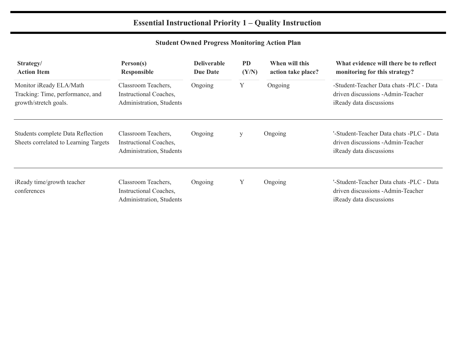## **Essential Instructional Priority 1 – Quality Instruction**

## **Student Owned Progress Monitoring Action Plan**

| Strategy/<br><b>Action Item</b>                                                      | Person(s)<br>Responsible                                                  | <b>Deliverable</b><br><b>Due Date</b> | <b>PD</b><br>(Y/N) | When will this<br>action take place? | What evidence will there be to reflect<br>monitoring for this strategy?                                   |
|--------------------------------------------------------------------------------------|---------------------------------------------------------------------------|---------------------------------------|--------------------|--------------------------------------|-----------------------------------------------------------------------------------------------------------|
| Monitor iReady ELA/Math<br>Tracking: Time, performance, and<br>growth/stretch goals. | Classroom Teachers,<br>Instructional Coaches,<br>Administration, Students | Ongoing                               | Y                  | Ongoing                              | -Student-Teacher Data chats -PLC - Data<br>driven discussions - Admin-Teacher<br>iReady data discussions  |
| Students complete Data Reflection<br>Sheets correlated to Learning Targets           | Classroom Teachers,<br>Instructional Coaches,<br>Administration, Students | Ongoing                               | У                  | Ongoing                              | '-Student-Teacher Data chats -PLC - Data<br>driven discussions - Admin-Teacher<br>iReady data discussions |
| iReady time/growth teacher<br>conferences                                            | Classroom Teachers,<br>Instructional Coaches,<br>Administration, Students | Ongoing                               | Y                  | Ongoing                              | '-Student-Teacher Data chats -PLC - Data<br>driven discussions - Admin-Teacher<br>iReady data discussions |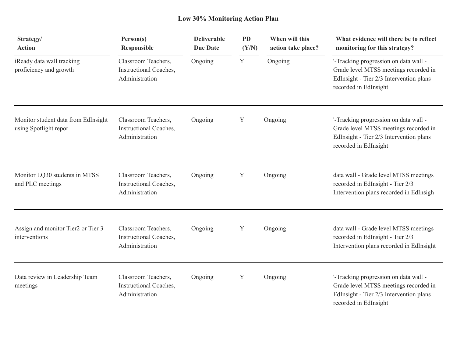## **Low 30% Monitoring Action Plan**

| Strategy/<br><b>Action</b>                                   | Person(s)<br><b>Responsible</b>                                 | <b>Deliverable</b><br><b>Due Date</b> | <b>PD</b><br>(Y/N) | When will this<br>action take place? | What evidence will there be to reflect<br>monitoring for this strategy?                                                                            |
|--------------------------------------------------------------|-----------------------------------------------------------------|---------------------------------------|--------------------|--------------------------------------|----------------------------------------------------------------------------------------------------------------------------------------------------|
| iReady data wall tracking<br>proficiency and growth          | Classroom Teachers,<br>Instructional Coaches,<br>Administration | Ongoing                               | Y                  | Ongoing                              | '-Tracking progression on data wall -<br>Grade level MTSS meetings recorded in<br>EdInsight - Tier 2/3 Intervention plans<br>recorded in EdInsight |
| Monitor student data from EdInsight<br>using Spotlight repor | Classroom Teachers,<br>Instructional Coaches,<br>Administration | Ongoing                               | Y                  | Ongoing                              | '-Tracking progression on data wall -<br>Grade level MTSS meetings recorded in<br>EdInsight - Tier 2/3 Intervention plans<br>recorded in EdInsight |
| Monitor LQ30 students in MTSS<br>and PLC meetings            | Classroom Teachers,<br>Instructional Coaches,<br>Administration | Ongoing                               | Y                  | Ongoing                              | data wall - Grade level MTSS meetings<br>recorded in EdInsight - Tier 2/3<br>Intervention plans recorded in EdInsigh                               |
| Assign and monitor Tier2 or Tier 3<br>interventions          | Classroom Teachers,<br>Instructional Coaches,<br>Administration | Ongoing                               | Y                  | Ongoing                              | data wall - Grade level MTSS meetings<br>recorded in EdInsight - Tier 2/3<br>Intervention plans recorded in EdInsight                              |
| Data review in Leadership Team<br>meetings                   | Classroom Teachers,<br>Instructional Coaches,<br>Administration | Ongoing                               | Y                  | Ongoing                              | '-Tracking progression on data wall -<br>Grade level MTSS meetings recorded in<br>EdInsight - Tier 2/3 Intervention plans<br>recorded in EdInsight |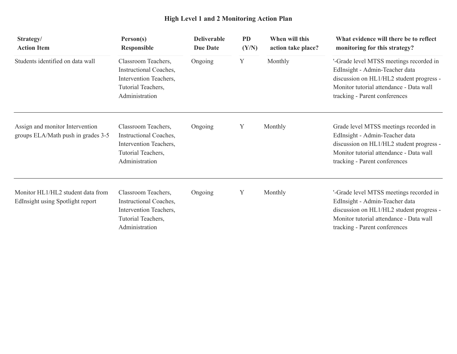## **High Level 1 and 2 Monitoring Action Plan**

| Strategy/<br><b>Action Item</b>                                       | Person(s)<br><b>Responsible</b>                                                                                 | <b>Deliverable</b><br><b>Due Date</b> | <b>PD</b><br>(Y/N) | When will this<br>action take place? | What evidence will there be to reflect<br>monitoring for this strategy?                                                                                                                           |
|-----------------------------------------------------------------------|-----------------------------------------------------------------------------------------------------------------|---------------------------------------|--------------------|--------------------------------------|---------------------------------------------------------------------------------------------------------------------------------------------------------------------------------------------------|
| Students identified on data wall                                      | Classroom Teachers,<br>Instructional Coaches,<br>Intervention Teachers,<br>Tutorial Teachers,<br>Administration | Ongoing                               | Y                  | Monthly                              | '-Grade level MTSS meetings recorded in<br>EdInsight - Admin-Teacher data<br>discussion on HL1/HL2 student progress -<br>Monitor tutorial attendance - Data wall<br>tracking - Parent conferences |
| Assign and monitor Intervention<br>groups ELA/Math push in grades 3-5 | Classroom Teachers,<br>Instructional Coaches,<br>Intervention Teachers,<br>Tutorial Teachers,<br>Administration | Ongoing                               | Y                  | Monthly                              | Grade level MTSS meetings recorded in<br>EdInsight - Admin-Teacher data<br>discussion on HL1/HL2 student progress -<br>Monitor tutorial attendance - Data wall<br>tracking - Parent conferences   |
| Monitor HL1/HL2 student data from<br>EdInsight using Spotlight report | Classroom Teachers,<br>Instructional Coaches,<br>Intervention Teachers,<br>Tutorial Teachers,<br>Administration | Ongoing                               | Y                  | Monthly                              | '-Grade level MTSS meetings recorded in<br>EdInsight - Admin-Teacher data<br>discussion on HL1/HL2 student progress -<br>Monitor tutorial attendance - Data wall<br>tracking - Parent conferences |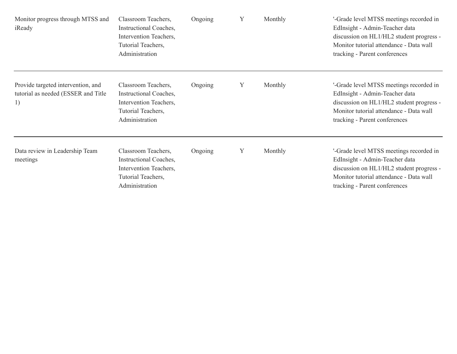| Monitor progress through MTSS and<br>iReady                                      | Classroom Teachers,<br>Instructional Coaches,<br>Intervention Teachers,<br>Tutorial Teachers,<br>Administration | Ongoing | Y | Monthly | '-Grade level MTSS meetings recorded in<br>EdInsight - Admin-Teacher data<br>discussion on HL1/HL2 student progress -<br>Monitor tutorial attendance - Data wall<br>tracking - Parent conferences |
|----------------------------------------------------------------------------------|-----------------------------------------------------------------------------------------------------------------|---------|---|---------|---------------------------------------------------------------------------------------------------------------------------------------------------------------------------------------------------|
| Provide targeted intervention, and<br>tutorial as needed (ESSER and Title)<br>1) | Classroom Teachers,<br>Instructional Coaches,<br>Intervention Teachers,<br>Tutorial Teachers,<br>Administration | Ongoing | Y | Monthly | '-Grade level MTSS meetings recorded in<br>EdInsight - Admin-Teacher data<br>discussion on HL1/HL2 student progress -<br>Monitor tutorial attendance - Data wall<br>tracking - Parent conferences |
| Data review in Leadership Team<br>meetings                                       | Classroom Teachers,<br>Instructional Coaches,<br>Intervention Teachers,<br>Tutorial Teachers,<br>Administration | Ongoing | Y | Monthly | '-Grade level MTSS meetings recorded in<br>EdInsight - Admin-Teacher data<br>discussion on HL1/HL2 student progress -<br>Monitor tutorial attendance - Data wall<br>tracking - Parent conferences |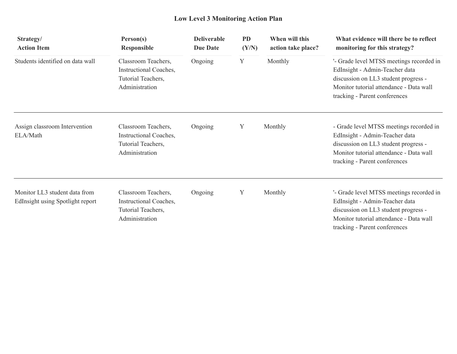## **Low Level 3 Monitoring Action Plan**

| Strategy/<br><b>Action Item</b>                                   | Person(s)<br><b>Responsible</b>                                                       | <b>Deliverable</b><br><b>Due Date</b> | <b>PD</b><br>(Y/N) | When will this<br>action take place? | What evidence will there be to reflect<br>monitoring for this strategy?                                                                                                                        |
|-------------------------------------------------------------------|---------------------------------------------------------------------------------------|---------------------------------------|--------------------|--------------------------------------|------------------------------------------------------------------------------------------------------------------------------------------------------------------------------------------------|
| Students identified on data wall                                  | Classroom Teachers,<br>Instructional Coaches,<br>Tutorial Teachers,<br>Administration | Ongoing                               | Y                  | Monthly                              | '- Grade level MTSS meetings recorded in<br>EdInsight - Admin-Teacher data<br>discussion on LL3 student progress -<br>Monitor tutorial attendance - Data wall<br>tracking - Parent conferences |
| Assign classroom Intervention<br>ELA/Math                         | Classroom Teachers,<br>Instructional Coaches,<br>Tutorial Teachers,<br>Administration | Ongoing                               | Y                  | Monthly                              | - Grade level MTSS meetings recorded in<br>EdInsight - Admin-Teacher data<br>discussion on LL3 student progress -<br>Monitor tutorial attendance - Data wall<br>tracking - Parent conferences  |
| Monitor LL3 student data from<br>EdInsight using Spotlight report | Classroom Teachers,<br>Instructional Coaches,<br>Tutorial Teachers,<br>Administration | Ongoing                               | Y                  | Monthly                              | '- Grade level MTSS meetings recorded in<br>EdInsight - Admin-Teacher data<br>discussion on LL3 student progress -<br>Monitor tutorial attendance - Data wall<br>tracking - Parent conferences |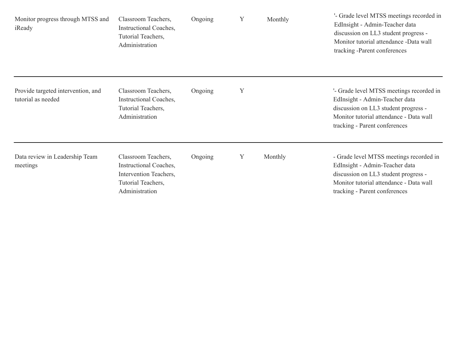| Monitor progress through MTSS and<br>iReady              | Classroom Teachers,<br>Instructional Coaches,<br>Tutorial Teachers,<br>Administration                           | Ongoing | Y | Monthly | '- Grade level MTSS meetings recorded in<br>EdInsight - Admin-Teacher data<br>discussion on LL3 student progress -<br>Monitor tutorial attendance -Data wall<br>tracking -Parent conferences   |
|----------------------------------------------------------|-----------------------------------------------------------------------------------------------------------------|---------|---|---------|------------------------------------------------------------------------------------------------------------------------------------------------------------------------------------------------|
| Provide targeted intervention, and<br>tutorial as needed | Classroom Teachers,<br>Instructional Coaches,<br>Tutorial Teachers,<br>Administration                           | Ongoing | Y |         | '- Grade level MTSS meetings recorded in<br>EdInsight - Admin-Teacher data<br>discussion on LL3 student progress -<br>Monitor tutorial attendance - Data wall<br>tracking - Parent conferences |
| Data review in Leadership Team<br>meetings               | Classroom Teachers,<br>Instructional Coaches,<br>Intervention Teachers,<br>Tutorial Teachers,<br>Administration | Ongoing | Y | Monthly | - Grade level MTSS meetings recorded in<br>EdInsight - Admin-Teacher data<br>discussion on LL3 student progress -<br>Monitor tutorial attendance - Data wall<br>tracking - Parent conferences  |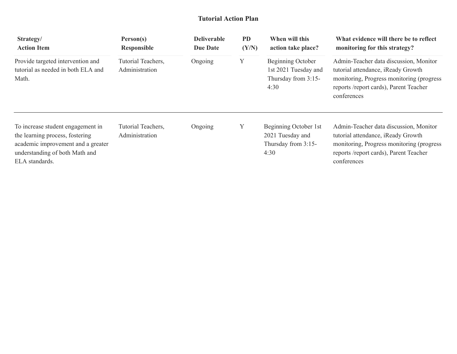#### **Tutorial Action Plan**

| Strategy/<br><b>Action Item</b>                                                                                                                                | Person(s)<br><b>Responsible</b>      | <b>Deliverable</b><br><b>Due Date</b> | <b>PD</b><br>(Y/N) | When will this<br>action take place?                                     | What evidence will there be to reflect<br>monitoring for this strategy?                                                                                                             |  |
|----------------------------------------------------------------------------------------------------------------------------------------------------------------|--------------------------------------|---------------------------------------|--------------------|--------------------------------------------------------------------------|-------------------------------------------------------------------------------------------------------------------------------------------------------------------------------------|--|
| Provide targeted intervention and<br>tutorial as needed in both ELA and<br>Math.                                                                               | Tutorial Teachers,<br>Administration | Ongoing                               | Y                  | Beginning October<br>1st 2021 Tuesday and<br>Thursday from 3:15-<br>4:30 | Admin-Teacher data discussion, Monitor<br>tutorial attendance, iReady Growth<br>monitoring, Progress monitoring (progress)<br>reports /report cards), Parent Teacher<br>conferences |  |
| To increase student engagement in<br>the learning process, fostering<br>academic improvement and a greater<br>understanding of both Math and<br>ELA standards. | Tutorial Teachers,<br>Administration | Ongoing                               | Y                  | Beginning October 1st<br>2021 Tuesday and<br>Thursday from 3:15-<br>4:30 | Admin-Teacher data discussion, Monitor<br>tutorial attendance, iReady Growth<br>monitoring, Progress monitoring (progress)<br>reports /report cards), Parent Teacher<br>conferences |  |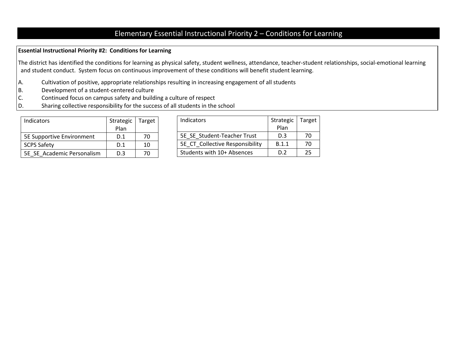## Elementary Essential Instructional Priority 2 – Conditions for Learning

#### **Essential Instructional Priority #2: Conditions for Learning**

The district has identified the conditions for learning as physical safety, student wellness, attendance, teacher-student relationships, social-emotional learning and student conduct. System focus on continuous improvement of these conditions will benefit student learning.

- A. Cultivation of positive, appropriate relationships resulting in increasing engagement of all students
- B. Development of a student-centered culture
- C. Continued focus on campus safety and building a culture of respect
- D. Sharing collective responsibility for the success of all students in the school

| Indicators                 | Strategic | Target |
|----------------------------|-----------|--------|
|                            | Plan      |        |
| 5E Supportive Environment  | D.1       | 70     |
| <b>SCPS Safety</b>         | D.1       | 10     |
| 5E SE Academic Personalism | D.3       | 7Λ     |

| Indicators                      | Strategic | Target |
|---------------------------------|-----------|--------|
|                                 | Plan      |        |
| 5E SE Student-Teacher Trust     | D.3       | 70     |
| 5E CT Collective Responsibility | B.1.1     | 70     |
| Students with 10+ Absences      | כ ח       | フち     |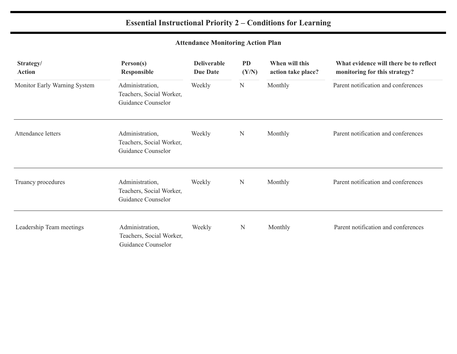## **Essential Instructional Priority 2 – Conditions for Learning**

## **Attendance Monitoring Action Plan**

| Strategy/<br><b>Action</b>   | Person(s)<br><b>Responsible</b>                                   | <b>Deliverable</b><br><b>Due Date</b> | <b>PD</b><br>(Y/N) | When will this<br>action take place? | What evidence will there be to reflect<br>monitoring for this strategy? |
|------------------------------|-------------------------------------------------------------------|---------------------------------------|--------------------|--------------------------------------|-------------------------------------------------------------------------|
| Monitor Early Warning System | Administration,<br>Teachers, Social Worker,<br>Guidance Counselor | Weekly                                | ${\bf N}$          | Monthly                              | Parent notification and conferences                                     |
| Attendance letters           | Administration,<br>Teachers, Social Worker,<br>Guidance Counselor | Weekly                                | $\mathbf N$        | Monthly                              | Parent notification and conferences                                     |
| Truancy procedures           | Administration,<br>Teachers, Social Worker,<br>Guidance Counselor | Weekly                                | N                  | Monthly                              | Parent notification and conferences                                     |
| Leadership Team meetings     | Administration,<br>Teachers, Social Worker,<br>Guidance Counselor | Weekly                                | N                  | Monthly                              | Parent notification and conferences                                     |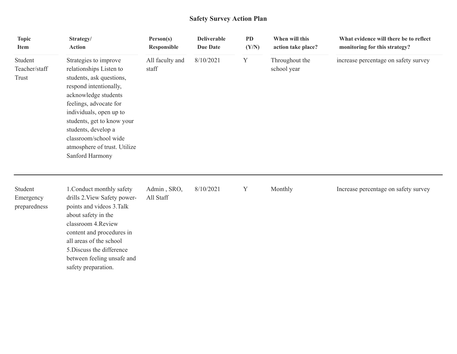## **Safety Survey Action Plan**

| <b>Topic</b><br><b>Item</b>          | Strategy/<br><b>Action</b>                                                                                                                                                                                                                                                                                           | Person(s)<br>Responsible | <b>Deliverable</b><br><b>Due Date</b> | <b>PD</b><br>(Y/N) | When will this<br>action take place? | What evidence will there be to reflect<br>monitoring for this strategy? |
|--------------------------------------|----------------------------------------------------------------------------------------------------------------------------------------------------------------------------------------------------------------------------------------------------------------------------------------------------------------------|--------------------------|---------------------------------------|--------------------|--------------------------------------|-------------------------------------------------------------------------|
| Student<br>Teacher/staff<br>Trust    | Strategies to improve<br>relationships Listen to<br>students, ask questions,<br>respond intentionally,<br>acknowledge students<br>feelings, advocate for<br>individuals, open up to<br>students, get to know your<br>students, develop a<br>classroom/school wide<br>atmosphere of trust. Utilize<br>Sanford Harmony | All faculty and<br>staff | 8/10/2021                             | Y                  | Throughout the<br>school year        | increase percentage on safety survey                                    |
| Student<br>Emergency<br>preparedness | 1. Conduct monthly safety<br>drills 2. View Safety power-<br>points and videos 3. Talk<br>about safety in the<br>classroom 4. Review<br>content and procedures in<br>all areas of the school<br>5. Discuss the difference<br>between feeling unsafe and<br>safety preparation.                                       | Admin, SRO,<br>All Staff | 8/10/2021                             | Y                  | Monthly                              | Increase percentage on safety survey                                    |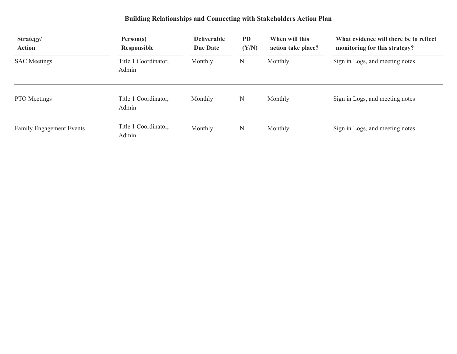## **Building Relationships and Connecting with Stakeholders Action Plan**

| Strategy/<br><b>Action</b>      | Person(s)<br><b>Responsible</b> | <b>Deliverable</b><br><b>Due Date</b> | <b>PD</b><br>(Y/N) | When will this<br>action take place? | What evidence will there be to reflect<br>monitoring for this strategy?<br>Sign in Logs, and meeting notes |  |
|---------------------------------|---------------------------------|---------------------------------------|--------------------|--------------------------------------|------------------------------------------------------------------------------------------------------------|--|
| <b>SAC</b> Meetings             | Title 1 Coordinator,<br>Admin   | Monthly                               | N                  | Monthly                              |                                                                                                            |  |
| PTO Meetings                    | Title 1 Coordinator,<br>Admin   | Monthly                               | N                  | Monthly                              | Sign in Logs, and meeting notes                                                                            |  |
| <b>Family Engagement Events</b> | Title 1 Coordinator,<br>Admin   | Monthly                               | N                  | Monthly                              | Sign in Logs, and meeting notes                                                                            |  |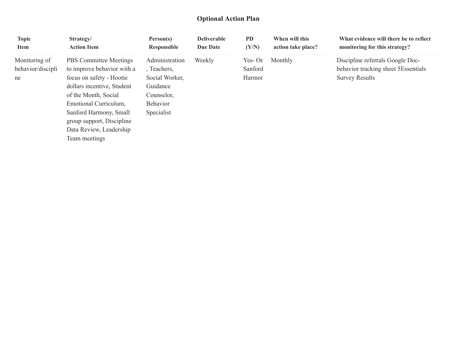#### **Optional Action Plan**

| <b>Topic</b><br><b>Item</b> | Strategy/<br><b>Action Item</b>                     | Person(s)<br>Responsible | <b>Deliverable</b><br><b>Due Date</b> | <b>PD</b><br>(Y/N) | When will this<br>action take place? | What evidence will there be to reflect<br>monitoring for this strategy? |
|-----------------------------|-----------------------------------------------------|--------------------------|---------------------------------------|--------------------|--------------------------------------|-------------------------------------------------------------------------|
| Monitoring of               | <b>PBS</b> Committee Meetings                       | Administration           | Weekly                                | $Yes-On$           | Monthly                              | Discipline referrals Google Doc-                                        |
| behavior/discipli           | to improve behavior with a                          | , Teachers,              |                                       | Sanford            |                                      | behavior tracking sheet 5Essentials                                     |
| ne                          | focus on safety - Hootie                            | Social Worker,           |                                       | Harmor             |                                      | <b>Survey Results</b>                                                   |
|                             | dollars incentive, Student                          | Guidance                 |                                       |                    |                                      |                                                                         |
|                             | of the Month, Social                                | Counselor,               |                                       |                    |                                      |                                                                         |
|                             | Emotional Curriculum,                               | <b>Behavior</b>          |                                       |                    |                                      |                                                                         |
|                             | Sanford Harmony, Small<br>group support, Discipline | Specialist               |                                       |                    |                                      |                                                                         |
|                             | Data Review, Leadership                             |                          |                                       |                    |                                      |                                                                         |
|                             | Team meetings                                       |                          |                                       |                    |                                      |                                                                         |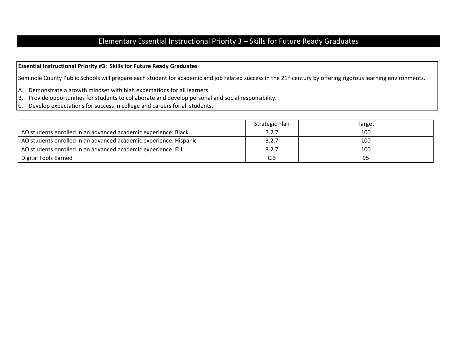## Elementary Essential Instructional Priority 3 – Skills for Future Ready Graduates

#### **Essential Instructional Priority #3: Skills for Future Ready Graduates**

Seminole County Public Schools will prepare each student for academic and job related success in the 21<sup>st</sup> century by offering rigorous learning environments.

- A. Demonstrate a growth mindset with high expectations for all learners.
- B. Provide opportunities for students to collaborate and develop personal and social responsibility.
- C. Develop expectations for success in college and careers for all students.

|                                                                   | Strategic Plan | Target |
|-------------------------------------------------------------------|----------------|--------|
| AO students enrolled in an advanced academic experience: Black    | B.2.7          | 100    |
| AO students enrolled in an advanced academic experience: Hispanic | B.2.7          | 100    |
| AO students enrolled in an advanced academic experience: ELL      | B.2.7          | 100    |
| <b>Digital Tools Earned</b>                                       |                | 95     |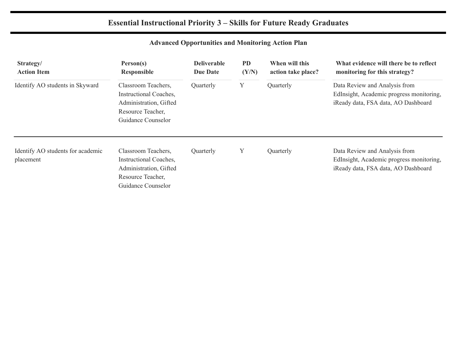## **Essential Instructional Priority 3 – Skills for Future Ready Graduates**

## **Advanced Opportunities and Monitoring Action Plan**

| Strategy/<br><b>Action Item</b>                | Person(s)<br><b>Responsible</b>                                                                                    | <b>Deliverable</b><br><b>Due Date</b> | <b>PD</b><br>(Y/N)<br>Y | When will this<br>action take place? | What evidence will there be to reflect<br>monitoring for this strategy?<br>Data Review and Analysis from<br>EdInsight, Academic progress monitoring,<br>iReady data, FSA data, AO Dashboard |  |
|------------------------------------------------|--------------------------------------------------------------------------------------------------------------------|---------------------------------------|-------------------------|--------------------------------------|---------------------------------------------------------------------------------------------------------------------------------------------------------------------------------------------|--|
| Identify AO students in Skyward                | Classroom Teachers,<br>Instructional Coaches,<br>Administration, Gifted<br>Resource Teacher,<br>Guidance Counselor | Quarterly                             |                         | Quarterly                            |                                                                                                                                                                                             |  |
| Identify AO students for academic<br>placement | Classroom Teachers,<br>Instructional Coaches,<br>Administration, Gifted<br>Resource Teacher,<br>Guidance Counselor | Quarterly                             | Y                       | Quarterly                            | Data Review and Analysis from<br>EdInsight, Academic progress monitoring,<br>iReady data, FSA data, AO Dashboard                                                                            |  |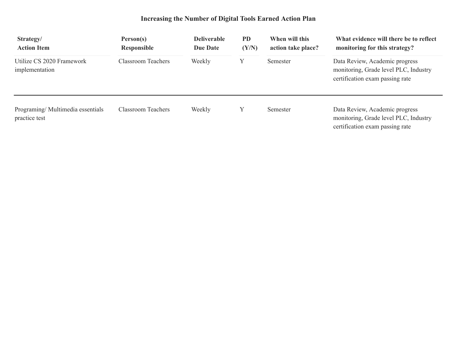## **Increasing the Number of Digital Tools Earned Action Plan**

| Strategy/<br><b>Action Item</b>                   | Person(s)<br><b>Responsible</b> | <b>Deliverable</b><br>Due Date | <b>PD</b><br>(Y/N) | When will this<br>action take place? | What evidence will there be to reflect<br>monitoring for this strategy?                                    |  |
|---------------------------------------------------|---------------------------------|--------------------------------|--------------------|--------------------------------------|------------------------------------------------------------------------------------------------------------|--|
| Utilize CS 2020 Framework<br>implementation       | <b>Classroom Teachers</b>       | Weekly                         |                    | Semester                             | Data Review, Academic progress<br>monitoring, Grade level PLC, Industry<br>certification exam passing rate |  |
| Programing/Multimedia essentials<br>practice test | Classroom Teachers              | Weekly                         | Y                  | Semester                             | Data Review, Academic progress<br>monitoring, Grade level PLC, Industry<br>certification exam passing rate |  |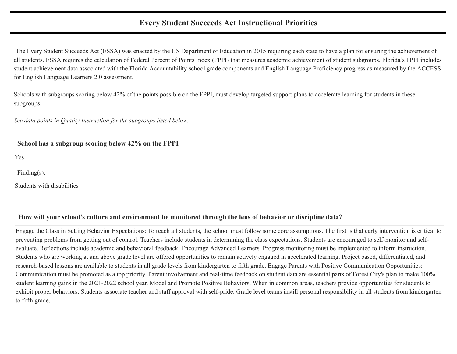#### **Every Student Succeeds Act Instructional Priorities**

The Every Student Succeeds Act (ESSA) was enacted by the US Department of Education in 2015 requiring each state to have a plan for ensuring the achievement of all students. ESSA requires the calculation of Federal Percent of Points Index (FPPI) that measures academic achievement of student subgroups. Florida's FPPI includes student achievement data associated with the Florida Accountability school grade components and English Language Proficiency progress as measured by the ACCESS for English Language Learners 2.0 assessment.

Schools with subgroups scoring below 42% of the points possible on the FPPI, must develop targeted support plans to accelerate learning for students in these subgroups.

*See data points in Quality Instruction for the subgroups listed below.*

#### **School has a subgroup scoring below 42% on the FPPI**

Yes

Finding(s):

Students with disabilities

#### **How will your school's culture and environment be monitored through the lens of behavior or discipline data?**

Engage the Class in Setting Behavior Expectations: To reach all students, the school must follow some core assumptions. The first is that early intervention is critical to preventing problems from getting out of control. Teachers include students in determining the class expectations. Students are encouraged to self-monitor and selfevaluate. Reflections include academic and behavioral feedback. Encourage Advanced Learners. Progress monitoring must be implemented to inform instruction. Students who are working at and above grade level are offered opportunities to remain actively engaged in accelerated learning. Project based, differentiated, and research-based lessons are available to students in all grade levels from kindergarten to fifth grade. Engage Parents with Positive Communication Opportunities: Communication must be promoted as a top priority. Parent involvement and real-time feedback on student data are essential parts of Forest City's plan to make 100% student learning gains in the 2021-2022 school year. Model and Promote Positive Behaviors. When in common areas, teachers provide opportunities for students to exhibit proper behaviors. Students associate teacher and staff approval with self-pride. Grade level teams instill personal responsibility in all students from kindergarten to fifth grade.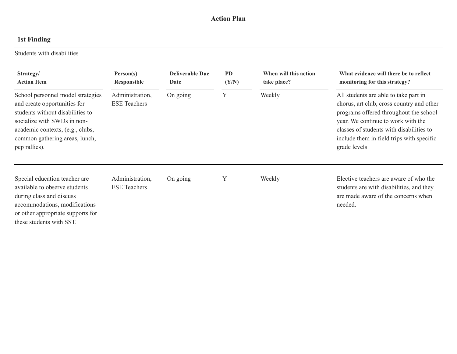#### **Action Plan**

## **1st Finding**

Students with disabilities

| Strategy/<br><b>Action Item</b>                                                                                                                                                                                                                                                        | Person(s)<br>Responsible               | <b>Deliverable Due</b><br>Date | <b>PD</b><br>(Y/N)                                                                                                                                                                                                                                                          | When will this action<br>take place? | What evidence will there be to reflect<br>monitoring for this strategy?                                                              |
|----------------------------------------------------------------------------------------------------------------------------------------------------------------------------------------------------------------------------------------------------------------------------------------|----------------------------------------|--------------------------------|-----------------------------------------------------------------------------------------------------------------------------------------------------------------------------------------------------------------------------------------------------------------------------|--------------------------------------|--------------------------------------------------------------------------------------------------------------------------------------|
| Y<br>Administration,<br>School personnel model strategies<br>On going<br><b>ESE</b> Teachers<br>and create opportunities for<br>students without disabilities to<br>socialize with SWDs in non-<br>academic contexts, (e.g., clubs,<br>common gathering areas, lunch,<br>pep rallies). |                                        | Weekly                         | All students are able to take part in<br>chorus, art club, cross country and other<br>programs offered throughout the school<br>year. We continue to work with the<br>classes of students with disabilities to<br>include them in field trips with specific<br>grade levels |                                      |                                                                                                                                      |
| Special education teacher are<br>available to observe students<br>during class and discuss<br>accommodations, modifications<br>or other appropriate supports for<br>these students with SST.                                                                                           | Administration,<br><b>ESE</b> Teachers | On going                       | Y                                                                                                                                                                                                                                                                           | Weekly                               | Elective teachers are aware of who the<br>students are with disabilities, and they<br>are made aware of the concerns when<br>needed. |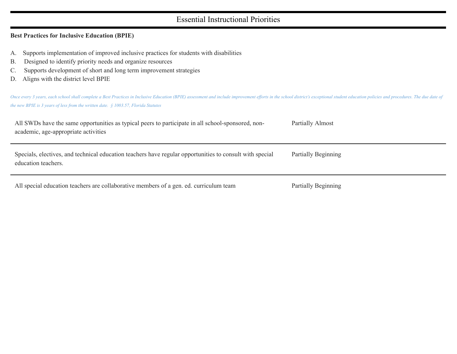#### Essential Instructional Priorities

#### **Best Practices for Inclusive Education (BPIE)**

- A. Supports implementation of improved inclusive practices for students with disabilities
- B. Designed to identify priority needs and organize resources
- C. Supports development of short and long term improvement strategies
- D. Aligns with the district level BPIE

Once every 3 years, each school shall complete a Best Practices in Inclusive Education (BPIE) assessment and include improvement efforts in the school district's exceptional student education policies and procedures. The d *the new BPIE is 3 years of less from the written date. § 1003.57, Florida Statutes*

| All SWDs have the same opportunities as typical peers to participate in all school-sponsored, non-<br>academic, age-appropriate activities | Partially Almost    |
|--------------------------------------------------------------------------------------------------------------------------------------------|---------------------|
| Specials, electives, and technical education teachers have regular opportunities to consult with special<br>education teachers.            | Partially Beginning |
| All special education teachers are collaborative members of a gen. ed. curriculum team                                                     | Partially Beginning |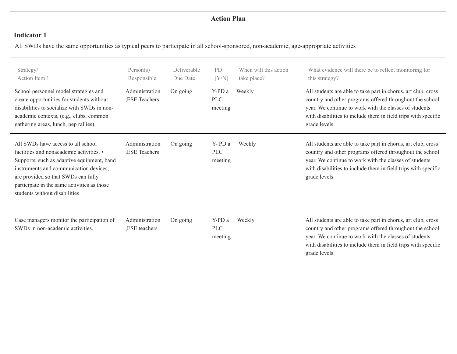#### **Action Plan**

#### **Indicator 1**

All SWDs have the same opportunities as typical peers to participate in all school-sponsored, non-academic, age-appropriate activities

| Strategy/<br>Action Item 1<br>School personnel model strategies and<br>create opportunities for students without<br>disabilities to socialize with SWDs in non-<br>academic contexts, (e.g., clubs, common<br>gathering areas, lunch, pep rallies).                                           | Person(s)<br>Responsible<br>Administration<br>,ESE Teachers | Deliverable<br>Due Date<br>On going | <b>PD</b><br>(Y/N)<br>Y-PD a<br><b>PLC</b><br>meeting | When will this action<br>take place?<br>Weekly | What evidence will there be to reflect monitoring for<br>this strategy?<br>All students are able to take part in chorus, art club, cross<br>country and other programs offered throughout the school<br>year. We continue to work with the classes of students<br>with disabilities to include them in field trips with specific<br>grade levels. |
|-----------------------------------------------------------------------------------------------------------------------------------------------------------------------------------------------------------------------------------------------------------------------------------------------|-------------------------------------------------------------|-------------------------------------|-------------------------------------------------------|------------------------------------------------|---------------------------------------------------------------------------------------------------------------------------------------------------------------------------------------------------------------------------------------------------------------------------------------------------------------------------------------------------|
| All SWDs have access to all school<br>facilities and nonacademic activities. •<br>Supports, such as adaptive equipment, band<br>instruments and communication devices,<br>are provided so that SWDs can fully<br>participate in the same activities as those<br>students without disabilities | Administration<br>,ESE Teachers                             | On going                            | Y-PD a<br><b>PLC</b><br>meeting                       | Weekly                                         | All students are able to take part in chorus, art club, cross<br>country and other programs offered throughout the school<br>year. We continue to work with the classes of students<br>with disabilities to include them in field trips with specific<br>grade levels.                                                                            |
| Case managers monitor the participation of<br>SWDs in non-academic activities.                                                                                                                                                                                                                | Administration<br>,ESE teachers                             | On going                            | Y-PD a<br><b>PLC</b><br>meeting                       | Weekly                                         | All students are able to take part in chorus, art club, cross<br>country and other programs offered throughout the school<br>year. We continue to work with the classes of students<br>with disabilities to include them in field trips with specific<br>grade levels.                                                                            |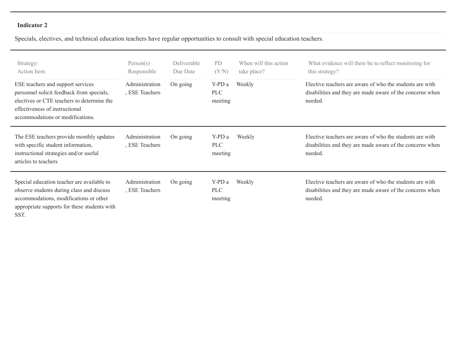#### **Indicator 2**

Specials, electives, and technical education teachers have regular opportunities to consult with special education teachers.

| Strategy/<br>Action Item<br>ESE teachers and support services<br>personnel solicit feedback from specials,<br>electives or CTE teachers to determine the<br>effectiveness of instructional<br>accommodations or modifications. | Person(s)<br>Responsible<br>Administration<br>, ESE Teachers | Deliverable<br>Due Date<br>On going | P <sub>D</sub><br>(Y/N)<br>Y-PD a<br><b>PLC</b><br>meeting | When will this action<br>take place?<br>Weekly | What evidence will there be to reflect monitoring for<br>this strategy?<br>Elective teachers are aware of who the students are with<br>disabilities and they are made aware of the concerns when<br>needed. |
|--------------------------------------------------------------------------------------------------------------------------------------------------------------------------------------------------------------------------------|--------------------------------------------------------------|-------------------------------------|------------------------------------------------------------|------------------------------------------------|-------------------------------------------------------------------------------------------------------------------------------------------------------------------------------------------------------------|
| The ESE teachers provide monthly updates<br>with specific student information,<br>instructional strategies and/or useful<br>articles to teachers                                                                               | Administration<br>, ESE Teachers                             | On going                            | Y-PD a<br><b>PLC</b><br>meeting                            | Weekly                                         | Elective teachers are aware of who the students are with<br>disabilities and they are made aware of the concerns when<br>needed.                                                                            |
| Special education teacher are available to<br>observe students during class and discuss<br>accommodations, modifications or other<br>appropriate supports for these students with<br>SST.                                      | Administration<br>, ESE Teachers                             | On going                            | Y-PD a<br><b>PLC</b><br>meeting                            | Weekly                                         | Elective teachers are aware of who the students are with<br>disabilities and they are made aware of the concerns when<br>needed.                                                                            |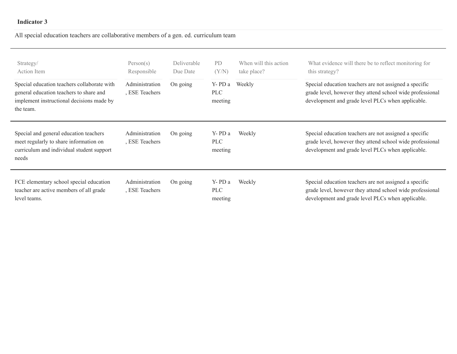#### **Indicator 3**

## All special education teachers are collaborative members of a gen. ed. curriculum team

| Strategy/<br>Action Item<br>Special education teachers collaborate with<br>general education teachers to share and<br>implement instructional decisions made by<br>the team. | Person(s)<br>Responsible<br>Administration<br>, ESE Teachers | Deliverable<br>Due Date<br>On going | P <sub>D</sub><br>(Y/N)<br>Y-PD a<br><b>PLC</b><br>meeting | When will this action<br>take place?<br>Weekly | What evidence will there be to reflect monitoring for<br>this strategy?<br>Special education teachers are not assigned a specific<br>grade level, however they attend school wide professional<br>development and grade level PLCs when applicable. |
|------------------------------------------------------------------------------------------------------------------------------------------------------------------------------|--------------------------------------------------------------|-------------------------------------|------------------------------------------------------------|------------------------------------------------|-----------------------------------------------------------------------------------------------------------------------------------------------------------------------------------------------------------------------------------------------------|
| Special and general education teachers<br>meet regularly to share information on<br>curriculum and individual student support<br>needs                                       | Administration<br>, ESE Teachers                             | On going                            | Y-PD a<br><b>PLC</b><br>meeting                            | Weekly                                         | Special education teachers are not assigned a specific<br>grade level, however they attend school wide professional<br>development and grade level PLCs when applicable.                                                                            |
| FCE elementary school special education<br>teacher are active members of all grade<br>level teams.                                                                           | Administration<br>, ESE Teachers                             | On going                            | Y-PD a<br><b>PLC</b><br>meeting                            | Weekly                                         | Special education teachers are not assigned a specific<br>grade level, however they attend school wide professional<br>development and grade level PLCs when applicable.                                                                            |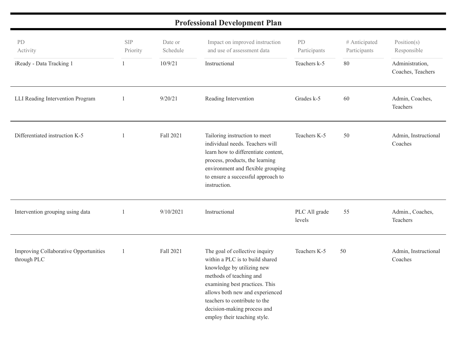# **Professional Development Plan**

| PD<br>Activity<br>iReady - Data Tracking 1           | <b>SIP</b><br>Priority<br>1 | Date or<br>Schedule<br>10/9/21 | Impact on improved instruction<br>and use of assessment data<br>Instructional                                                                                                                                                                                                                   | PD<br>Participants<br>Teachers k-5 | # Anticipated<br>Participants<br>80 | Position(s)<br>Responsible<br>Administration,<br>Coaches, Teachers |
|------------------------------------------------------|-----------------------------|--------------------------------|-------------------------------------------------------------------------------------------------------------------------------------------------------------------------------------------------------------------------------------------------------------------------------------------------|------------------------------------|-------------------------------------|--------------------------------------------------------------------|
| LLI Reading Intervention Program                     |                             | 9/20/21                        | Reading Intervention                                                                                                                                                                                                                                                                            | Grades k-5                         | 60                                  | Admin, Coaches,<br>Teachers                                        |
| Differentiated instruction K-5                       | 1                           | Fall 2021                      | Tailoring instruction to meet<br>individual needs. Teachers will<br>learn how to differentiate content,<br>process, products, the learning<br>environment and flexible grouping<br>to ensure a successful approach to<br>instruction.                                                           | Teachers K-5                       | 50                                  | Admin, Instructional<br>Coaches                                    |
| Intervention grouping using data                     | -1                          | 9/10/2021                      | Instructional                                                                                                                                                                                                                                                                                   | PLC All grade<br>levels            | 55                                  | Admin., Coaches,<br>Teachers                                       |
| Improving Collaborative Opportunities<br>through PLC |                             | Fall 2021                      | The goal of collective inquiry<br>within a PLC is to build shared<br>knowledge by utilizing new<br>methods of teaching and<br>examining best practices. This<br>allows both new and experienced<br>teachers to contribute to the<br>decision-making process and<br>employ their teaching style. | Teachers K-5                       | 50                                  | Admin, Instructional<br>Coaches                                    |